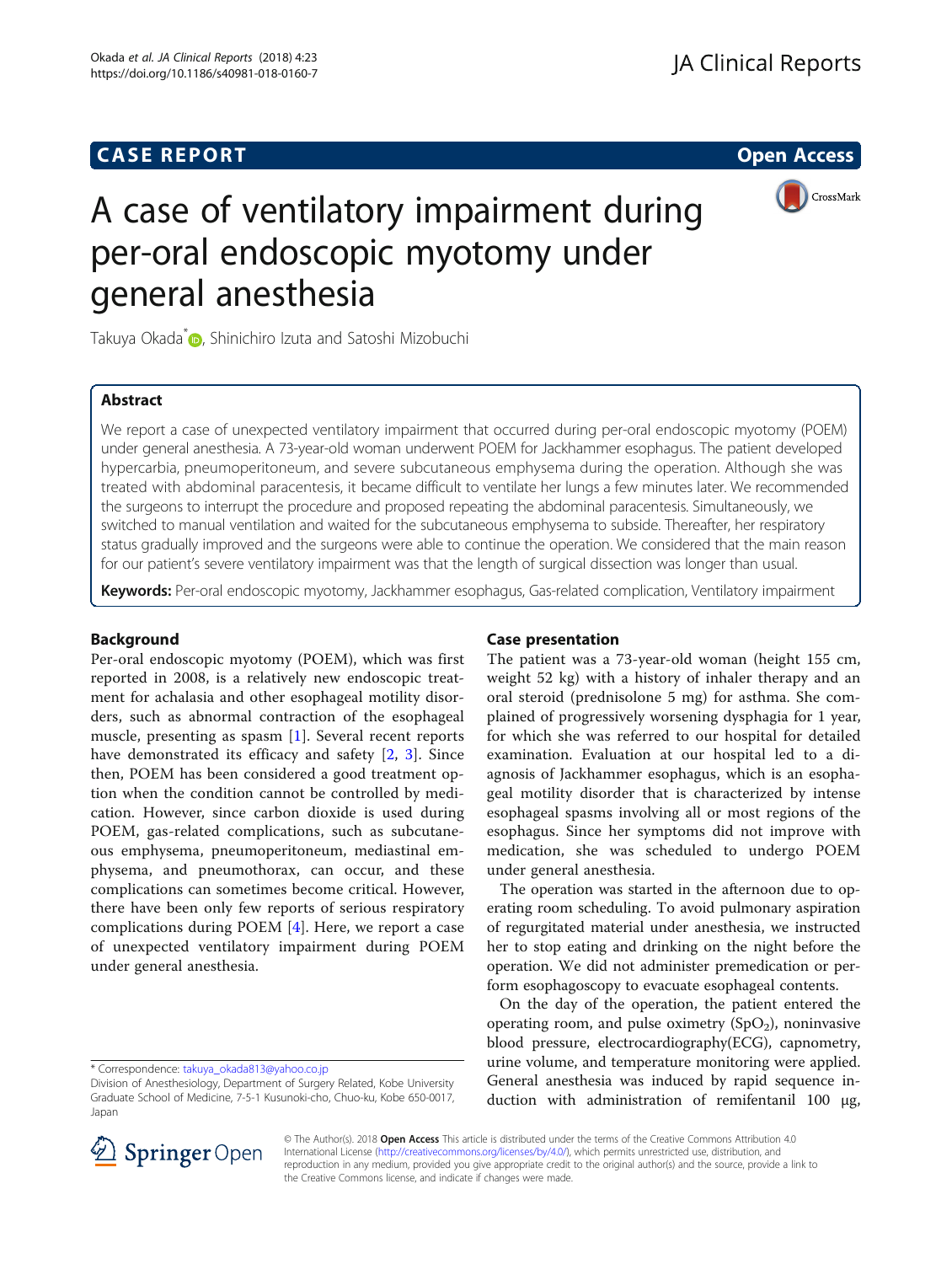# **CASE REPORT CASE REPORT** And the contract of the contract of the contract of the contract of the contract of the contract of the contract of the contract of the contract of the contract of the contract of the contract of



# A case of ventilatory impairment during per-oral endoscopic myotomy under general anesthesia

Takuya Okada<sup>\*</sup> [,](http://orcid.org/0000-0002-8760-4872) Shinichiro Izuta and Satoshi Mizobuchi

# Abstract

We report a case of unexpected ventilatory impairment that occurred during per-oral endoscopic myotomy (POEM) under general anesthesia. A 73-year-old woman underwent POEM for Jackhammer esophagus. The patient developed hypercarbia, pneumoperitoneum, and severe subcutaneous emphysema during the operation. Although she was treated with abdominal paracentesis, it became difficult to ventilate her lungs a few minutes later. We recommended the surgeons to interrupt the procedure and proposed repeating the abdominal paracentesis. Simultaneously, we switched to manual ventilation and waited for the subcutaneous emphysema to subside. Thereafter, her respiratory status gradually improved and the surgeons were able to continue the operation. We considered that the main reason for our patient's severe ventilatory impairment was that the length of surgical dissection was longer than usual.

Keywords: Per-oral endoscopic myotomy, Jackhammer esophagus, Gas-related complication, Ventilatory impairment

# Background

Per-oral endoscopic myotomy (POEM), which was first reported in 2008, is a relatively new endoscopic treatment for achalasia and other esophageal motility disorders, such as abnormal contraction of the esophageal muscle, presenting as spasm [[1\]](#page-2-0). Several recent reports have demonstrated its efficacy and safety [[2,](#page-2-0) [3\]](#page-2-0). Since then, POEM has been considered a good treatment option when the condition cannot be controlled by medication. However, since carbon dioxide is used during POEM, gas-related complications, such as subcutaneous emphysema, pneumoperitoneum, mediastinal emphysema, and pneumothorax, can occur, and these complications can sometimes become critical. However, there have been only few reports of serious respiratory complications during POEM [[4\]](#page-2-0). Here, we report a case of unexpected ventilatory impairment during POEM under general anesthesia.

# Case presentation

The patient was a 73-year-old woman (height 155 cm, weight 52 kg) with a history of inhaler therapy and an oral steroid (prednisolone 5 mg) for asthma. She complained of progressively worsening dysphagia for 1 year, for which she was referred to our hospital for detailed examination. Evaluation at our hospital led to a diagnosis of Jackhammer esophagus, which is an esophageal motility disorder that is characterized by intense esophageal spasms involving all or most regions of the esophagus. Since her symptoms did not improve with medication, she was scheduled to undergo POEM under general anesthesia.

The operation was started in the afternoon due to operating room scheduling. To avoid pulmonary aspiration of regurgitated material under anesthesia, we instructed her to stop eating and drinking on the night before the operation. We did not administer premedication or perform esophagoscopy to evacuate esophageal contents.

On the day of the operation, the patient entered the operating room, and pulse oximetry  $(SpO<sub>2</sub>)$ , noninvasive blood pressure, electrocardiography(ECG), capnometry, urine volume, and temperature monitoring were applied. General anesthesia was induced by rapid sequence induction with administration of remifentanil 100 μg,



© The Author(s). 2018 Open Access This article is distributed under the terms of the Creative Commons Attribution 4.0 International License ([http://creativecommons.org/licenses/by/4.0/\)](http://creativecommons.org/licenses/by/4.0/), which permits unrestricted use, distribution, and reproduction in any medium, provided you give appropriate credit to the original author(s) and the source, provide a link to the Creative Commons license, and indicate if changes were made.

<sup>\*</sup> Correspondence: [takuya\\_okada813@yahoo.co.jp](mailto:takuya_okada813@yahoo.co.jp)

Division of Anesthesiology, Department of Surgery Related, Kobe University Graduate School of Medicine, 7-5-1 Kusunoki-cho, Chuo-ku, Kobe 650-0017, Japan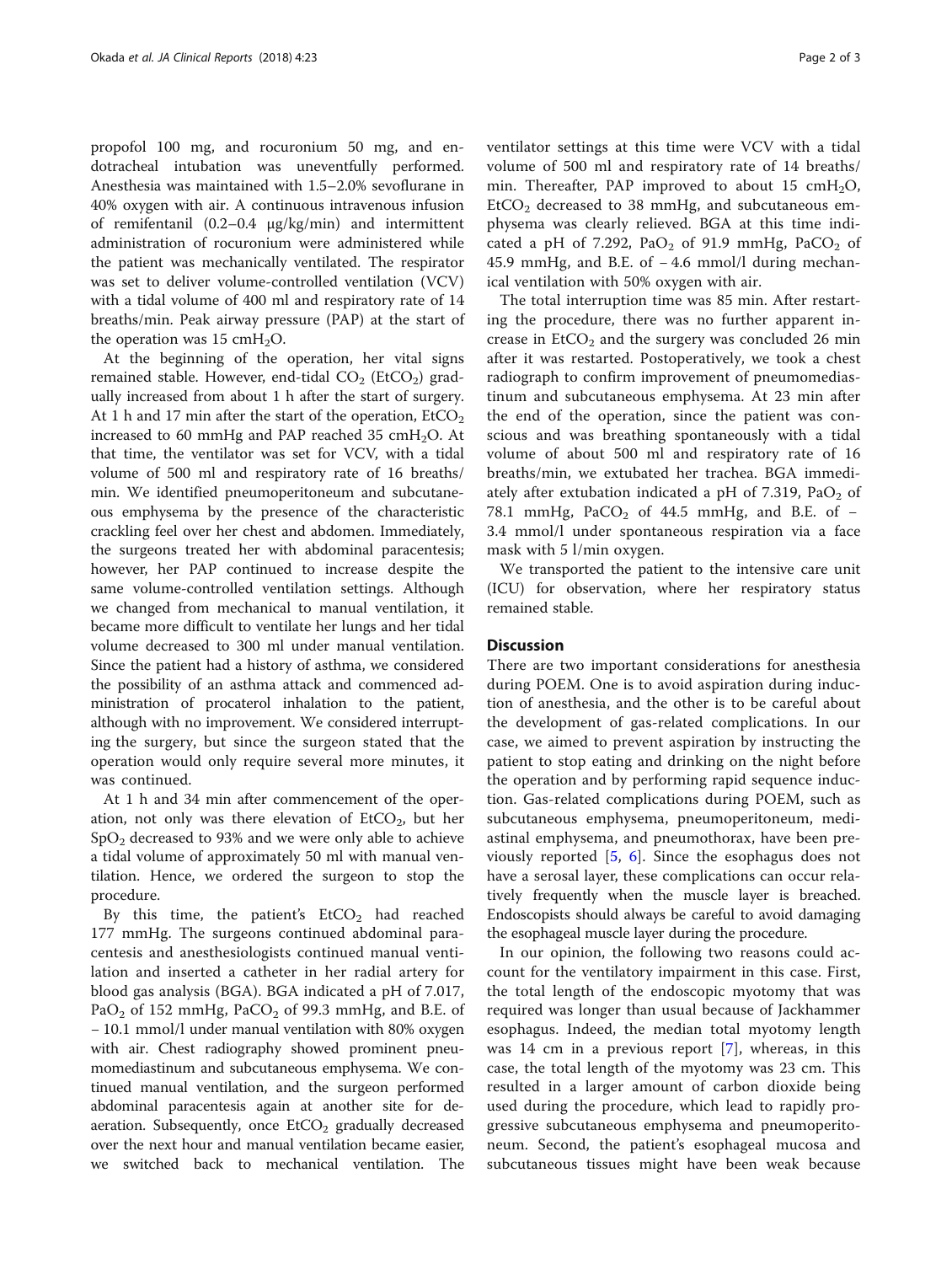propofol 100 mg, and rocuronium 50 mg, and endotracheal intubation was uneventfully performed. Anesthesia was maintained with 1.5–2.0% sevoflurane in 40% oxygen with air. A continuous intravenous infusion of remifentanil (0.2–0.4 μg/kg/min) and intermittent administration of rocuronium were administered while the patient was mechanically ventilated. The respirator was set to deliver volume-controlled ventilation (VCV) with a tidal volume of 400 ml and respiratory rate of 14 breaths/min. Peak airway pressure (PAP) at the start of the operation was  $15 \text{ cm}H_2O$ .

At the beginning of the operation, her vital signs remained stable. However, end-tidal  $CO<sub>2</sub>$  (EtCO<sub>2</sub>) gradually increased from about 1 h after the start of surgery. At 1 h and 17 min after the start of the operation,  $EtCO<sub>2</sub>$ increased to 60 mmHg and PAP reached 35  $cmH<sub>2</sub>O$ . At that time, the ventilator was set for VCV, with a tidal volume of 500 ml and respiratory rate of 16 breaths/ min. We identified pneumoperitoneum and subcutaneous emphysema by the presence of the characteristic crackling feel over her chest and abdomen. Immediately, the surgeons treated her with abdominal paracentesis; however, her PAP continued to increase despite the same volume-controlled ventilation settings. Although we changed from mechanical to manual ventilation, it became more difficult to ventilate her lungs and her tidal volume decreased to 300 ml under manual ventilation. Since the patient had a history of asthma, we considered the possibility of an asthma attack and commenced administration of procaterol inhalation to the patient, although with no improvement. We considered interrupting the surgery, but since the surgeon stated that the operation would only require several more minutes, it was continued.

At 1 h and 34 min after commencement of the operation, not only was there elevation of  $EtCO<sub>2</sub>$ , but her  $SpO<sub>2</sub>$  decreased to 93% and we were only able to achieve a tidal volume of approximately 50 ml with manual ventilation. Hence, we ordered the surgeon to stop the procedure.

By this time, the patient's  $EtCO<sub>2</sub>$  had reached 177 mmHg. The surgeons continued abdominal paracentesis and anesthesiologists continued manual ventilation and inserted a catheter in her radial artery for blood gas analysis (BGA). BGA indicated a pH of 7.017, PaO<sub>2</sub> of 152 mmHg, PaCO<sub>2</sub> of 99.3 mmHg, and B.E. of − 10.1 mmol/l under manual ventilation with 80% oxygen with air. Chest radiography showed prominent pneumomediastinum and subcutaneous emphysema. We continued manual ventilation, and the surgeon performed abdominal paracentesis again at another site for deaeration. Subsequently, once  $E<sub>1</sub>CO<sub>2</sub>$  gradually decreased over the next hour and manual ventilation became easier, we switched back to mechanical ventilation. The ventilator settings at this time were VCV with a tidal volume of 500 ml and respiratory rate of 14 breaths/ min. Thereafter, PAP improved to about 15 cmH<sub>2</sub>O,  $E<sub>1</sub>ECO<sub>2</sub>$  decreased to 38 mmHg, and subcutaneous emphysema was clearly relieved. BGA at this time indicated a pH of 7.292, PaO<sub>2</sub> of 91.9 mmHg, PaCO<sub>2</sub> of 45.9 mmHg, and B.E. of − 4.6 mmol/l during mechanical ventilation with 50% oxygen with air.

The total interruption time was 85 min. After restarting the procedure, there was no further apparent increase in  $EtCO<sub>2</sub>$  and the surgery was concluded 26 min after it was restarted. Postoperatively, we took a chest radiograph to confirm improvement of pneumomediastinum and subcutaneous emphysema. At 23 min after the end of the operation, since the patient was conscious and was breathing spontaneously with a tidal volume of about 500 ml and respiratory rate of 16 breaths/min, we extubated her trachea. BGA immediately after extubation indicated a pH of  $7.319$ ,  $PaO<sub>2</sub>$  of 78.1 mmHg,  $PaCO<sub>2</sub>$  of 44.5 mmHg, and B.E. of  $-$ 3.4 mmol/l under spontaneous respiration via a face mask with 5 l/min oxygen.

We transported the patient to the intensive care unit (ICU) for observation, where her respiratory status remained stable.

## **Discussion**

There are two important considerations for anesthesia during POEM. One is to avoid aspiration during induction of anesthesia, and the other is to be careful about the development of gas-related complications. In our case, we aimed to prevent aspiration by instructing the patient to stop eating and drinking on the night before the operation and by performing rapid sequence induction. Gas-related complications during POEM, such as subcutaneous emphysema, pneumoperitoneum, mediastinal emphysema, and pneumothorax, have been previously reported [[5,](#page-2-0) [6\]](#page-2-0). Since the esophagus does not have a serosal layer, these complications can occur relatively frequently when the muscle layer is breached. Endoscopists should always be careful to avoid damaging the esophageal muscle layer during the procedure.

In our opinion, the following two reasons could account for the ventilatory impairment in this case. First, the total length of the endoscopic myotomy that was required was longer than usual because of Jackhammer esophagus. Indeed, the median total myotomy length was 14 cm in a previous report [\[7](#page-2-0)], whereas, in this case, the total length of the myotomy was 23 cm. This resulted in a larger amount of carbon dioxide being used during the procedure, which lead to rapidly progressive subcutaneous emphysema and pneumoperitoneum. Second, the patient's esophageal mucosa and subcutaneous tissues might have been weak because